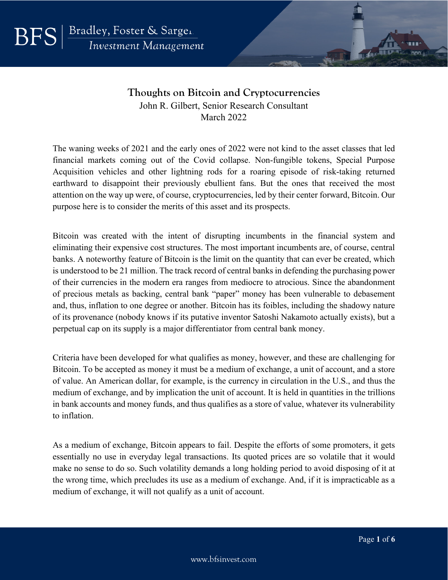**BFS** 

## **Thoughts on Bitcoin and Cryptocurrencies** John R. Gilbert, Senior Research Consultant March 2022

The waning weeks of 2021 and the early ones of 2022 were not kind to the asset classes that led financial markets coming out of the Covid collapse. Non-fungible tokens, Special Purpose Acquisition vehicles and other lightning rods for a roaring episode of risk-taking returned earthward to disappoint their previously ebullient fans. But the ones that received the most attention on the way up were, of course, cryptocurrencies, led by their center forward, Bitcoin. Our purpose here is to consider the merits of this asset and its prospects.

Bitcoin was created with the intent of disrupting incumbents in the financial system and eliminating their expensive cost structures. The most important incumbents are, of course, central banks. A noteworthy feature of Bitcoin is the limit on the quantity that can ever be created, which is understood to be 21 million. The track record of central banks in defending the purchasing power of their currencies in the modern era ranges from mediocre to atrocious. Since the abandonment of precious metals as backing, central bank "paper" money has been vulnerable to debasement and, thus, inflation to one degree or another. Bitcoin has its foibles, including the shadowy nature of its provenance (nobody knows if its putative inventor Satoshi Nakamoto actually exists), but a perpetual cap on its supply is a major differentiator from central bank money.

Criteria have been developed for what qualifies as money, however, and these are challenging for Bitcoin. To be accepted as money it must be a medium of exchange, a unit of account, and a store of value. An American dollar, for example, is the currency in circulation in the U.S., and thus the medium of exchange, and by implication the unit of account. It is held in quantities in the trillions in bank accounts and money funds, and thus qualifies as a store of value, whatever its vulnerability to inflation.

As a medium of exchange, Bitcoin appears to fail. Despite the efforts of some promoters, it gets essentially no use in everyday legal transactions. Its quoted prices are so volatile that it would make no sense to do so. Such volatility demands a long holding period to avoid disposing of it at the wrong time, which precludes its use as a medium of exchange. And, if it is impracticable as a medium of exchange, it will not qualify as a unit of account.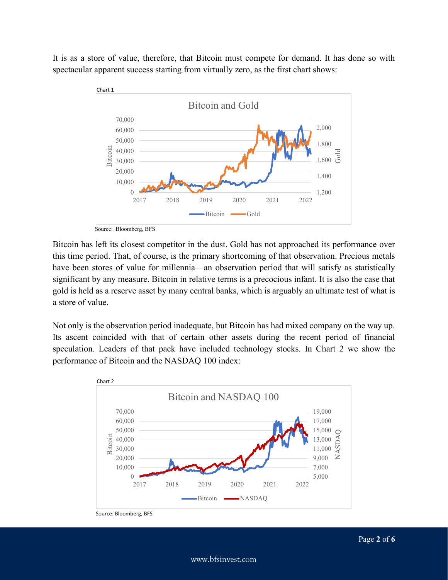It is as a store of value, therefore, that Bitcoin must compete for demand. It has done so with spectacular apparent success starting from virtually zero, as the first chart shows:



Source: Bloomberg, BFS

Bitcoin has left its closest competitor in the dust. Gold has not approached its performance over this time period. That, of course, is the primary shortcoming of that observation. Precious metals have been stores of value for millennia—an observation period that will satisfy as statistically significant by any measure. Bitcoin in relative terms is a precocious infant. It is also the case that gold is held as a reserve asset by many central banks, which is arguably an ultimate test of what is a store of value.

Not only is the observation period inadequate, but Bitcoin has had mixed company on the way up. Its ascent coincided with that of certain other assets during the recent period of financial speculation. Leaders of that pack have included technology stocks. In Chart 2 we show the performance of Bitcoin and the NASDAQ 100 index:



Source: Bloomberg, BFS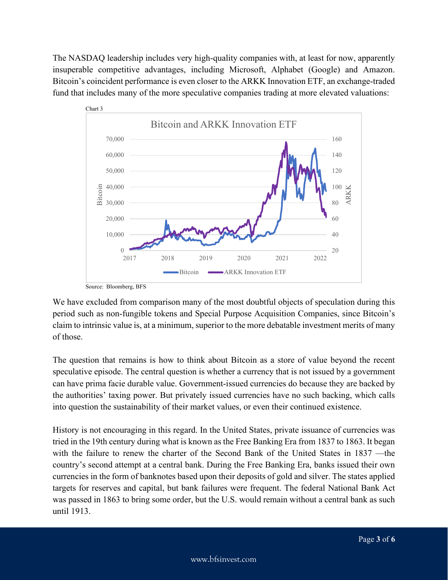The NASDAQ leadership includes very high-quality companies with, at least for now, apparently insuperable competitive advantages, including Microsoft, Alphabet (Google) and Amazon. Bitcoin's coincident performance is even closer to the ARKK Innovation ETF, an exchange-traded fund that includes many of the more speculative companies trading at more elevated valuations:



Source: Bloomberg, BFS

We have excluded from comparison many of the most doubtful objects of speculation during this period such as non-fungible tokens and Special Purpose Acquisition Companies, since Bitcoin's claim to intrinsic value is, at a minimum, superior to the more debatable investment merits of many of those.

The question that remains is how to think about Bitcoin as a store of value beyond the recent speculative episode. The central question is whether a currency that is not issued by a government can have prima facie durable value. Government-issued currencies do because they are backed by the authorities' taxing power. But privately issued currencies have no such backing, which calls into question the sustainability of their market values, or even their continued existence.

History is not encouraging in this regard. In the United States, private issuance of currencies was tried in the 19th century during what is known as the Free Banking Era from 1837 to 1863. It began with the failure to renew the charter of the Second Bank of the United States in 1837 —the country's second attempt at a central bank. During the Free Banking Era, banks issued their own currencies in the form of banknotes based upon their deposits of gold and silver. The states applied targets for reserves and capital, but bank failures were frequent. The federal National Bank Act was passed in 1863 to bring some order, but the U.S. would remain without a central bank as such until 1913.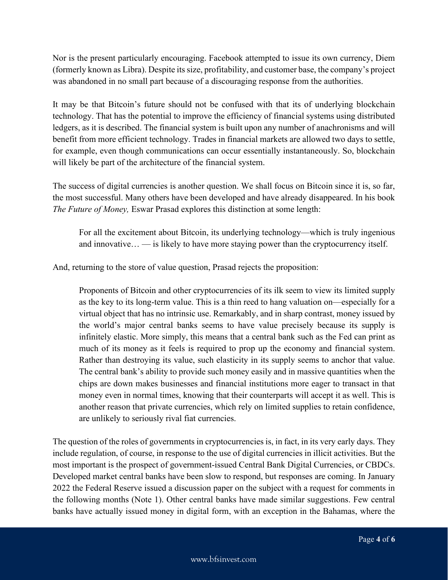Nor is the present particularly encouraging. Facebook attempted to issue its own currency, Diem (formerly known as Libra). Despite its size, profitability, and customer base, the company's project was abandoned in no small part because of a discouraging response from the authorities.

It may be that Bitcoin's future should not be confused with that its of underlying blockchain technology. That has the potential to improve the efficiency of financial systems using distributed ledgers, as it is described. The financial system is built upon any number of anachronisms and will benefit from more efficient technology. Trades in financial markets are allowed two days to settle, for example, even though communications can occur essentially instantaneously. So, blockchain will likely be part of the architecture of the financial system.

The success of digital currencies is another question. We shall focus on Bitcoin since it is, so far, the most successful. Many others have been developed and have already disappeared. In his book *The Future of Money,* Eswar Prasad explores this distinction at some length:

For all the excitement about Bitcoin, its underlying technology—which is truly ingenious and innovative… — is likely to have more staying power than the cryptocurrency itself.

And, returning to the store of value question, Prasad rejects the proposition:

Proponents of Bitcoin and other cryptocurrencies of its ilk seem to view its limited supply as the key to its long-term value. This is a thin reed to hang valuation on—especially for a virtual object that has no intrinsic use. Remarkably, and in sharp contrast, money issued by the world's major central banks seems to have value precisely because its supply is infinitely elastic. More simply, this means that a central bank such as the Fed can print as much of its money as it feels is required to prop up the economy and financial system. Rather than destroying its value, such elasticity in its supply seems to anchor that value. The central bank's ability to provide such money easily and in massive quantities when the chips are down makes businesses and financial institutions more eager to transact in that money even in normal times, knowing that their counterparts will accept it as well. This is another reason that private currencies, which rely on limited supplies to retain confidence, are unlikely to seriously rival fiat currencies.

The question of the roles of governments in cryptocurrencies is, in fact, in its very early days. They include regulation, of course, in response to the use of digital currencies in illicit activities. But the most important is the prospect of government-issued Central Bank Digital Currencies, or CBDCs. Developed market central banks have been slow to respond, but responses are coming. In January 2022 the Federal Reserve issued a discussion paper on the subject with a request for comments in the following months (Note 1). Other central banks have made similar suggestions. Few central banks have actually issued money in digital form, with an exception in the Bahamas, where the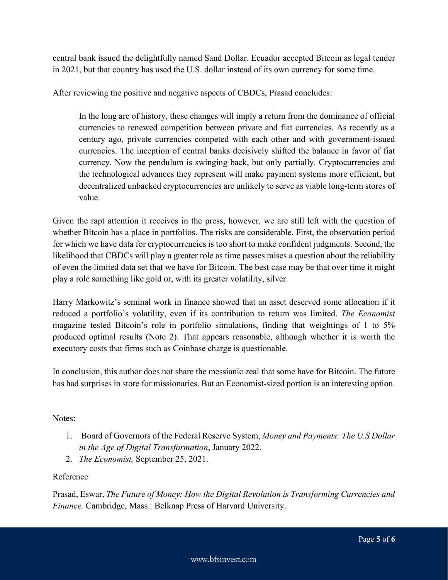central bank issued the delightfully named Sand Dollar. Ecuador accepted Bitcoin as legal tender in 2021, but that country has used the U.S. dollar instead of its own currency for some time.

After reviewing the positive and negative aspects of CBDCs, Prasad concludes:

In the long arc of history, these changes will imply a return from the dominance of official currencies to renewed competition between private and fiat currencies. As recently as a century ago, private currencies competed with each other and with government-issued currencies. The inception of central banks decisively shifted the balance in favor of fiat currency. Now the pendulum is swinging back, but only partially. Cryptocurrencies and the technological advances they represent will make payment systems more efficient, but decentralized unbacked cryptocurrencies are unlikely to serve as viable long-term stores of value.

Given the rapt attention it receives in the press, however, we are still left with the question of whether Bitcoin has a place in portfolios. The risks are considerable. First, the observation period for which we have data for cryptocurrencies is too short to make confident judgments. Second, the likelihood that CBDCs will play a greater role as time passes raises a question about the reliability of even the limited data set that we have for Bitcoin. The best case may be that over time it might play a role something like gold or, with its greater volatility, silver.

Harry Markowitz's seminal work in finance showed that an asset deserved some allocation if it reduced a portfolio's volatility, even if its contribution to return was limited. *The Economist* magazine tested Bitcoin's role in portfolio simulations, finding that weightings of 1 to 5% produced optimal results (Note 2). That appears reasonable, although whether it is worth the executory costs that firms such as Coinbase charge is questionable.

In conclusion, this author does not share the messianic zeal that some have for Bitcoin. The future has had surprises in store for missionaries. But an Economist-sized portion is an interesting option.

## Notes:

- 1. Board of Governors of the Federal Reserve System, *Money and Payments: The U.S Dollar in the Age of Digital Transformation*, January 2022.
- 2. *The Economist,* September 25, 2021.

## Reference

Prasad, Eswar, *The Future of Money: How the Digital Revolution is Transforming Currencies and Finance.* Cambridge, Mass.: Belknap Press of Harvard University.